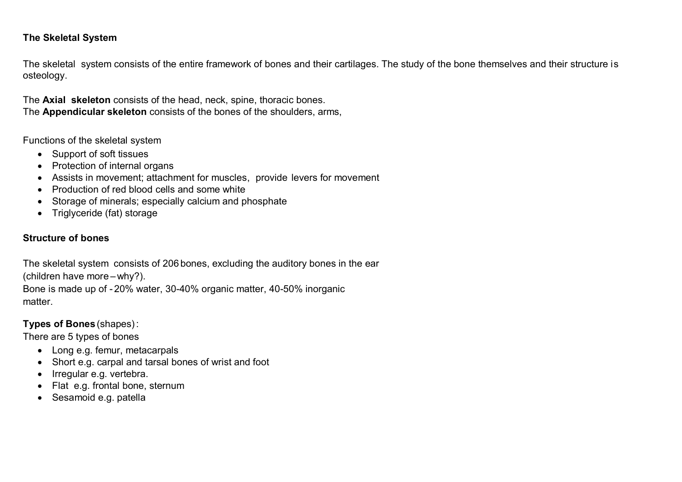### **The Skeletal System**

The skeletal system consists of the entire framework of bones and their cartilages. The study of the bone themselves and their structure is osteology.

The **Axial skeleton** consists of the head, neck, spine, thoracic bones. The **Appendicular skeleton** consists of the bones of the shoulders, arms,

Functions of the skeletal system

- Support of soft tissues
- Protection of internal organs
- Assists in movement; attachment for muscles, provide levers for movement
- Production of red blood cells and some white
- Storage of minerals: especially calcium and phosphate
- Triglyceride (fat) storage

# **Structure of bones**

The skeletal system consists of 206 bones, excluding the auditory bones in the ear (children have more –why?).

Bone is made up of - 20% water, 30-40% organic matter, 40-50% inorganic matter.

## **Types of Bones** (shapes):

There are 5 types of bones

- Long e.g. femur, metacarpals
- Short e.g. carpal and tarsal bones of wrist and foot
- Irregular e.g. vertebra.
- Flat e.g. frontal bone, sternum
- Sesamoid e.g. patella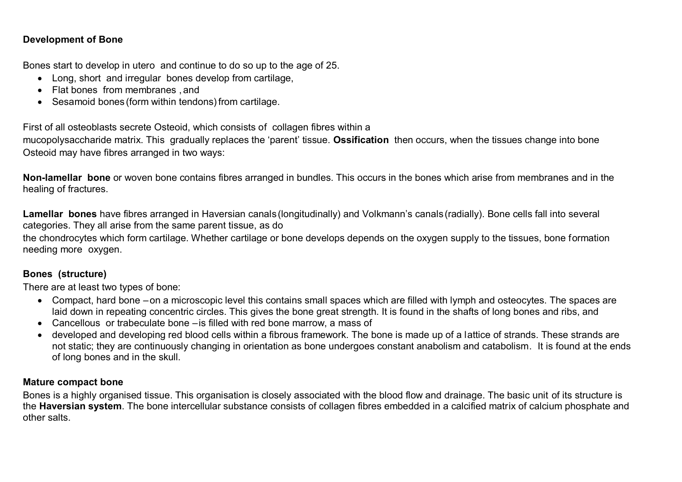## **Development of Bone**

Bones start to develop in utero and continue to do so up to the age of 25.

- Long, short and irregular bones develop from cartilage,
- Flat bones from membranes , and
- Sesamoid bones (form within tendons) from cartilage.

First of all osteoblasts secrete Osteoid, which consists of collagen fibres within a

mucopolysaccharide matrix. This gradually replaces the 'parent' tissue. **Ossification** then occurs, when the tissues change into bone Osteoid may have fibres arranged in two ways:

**Non-lamellar bone** or woven bone contains fibres arranged in bundles. This occurs in the bones which arise from membranes and in the healing of fractures.

**Lamellar bones** have fibres arranged in Haversian canals(longitudinally) and Volkmann's canals(radially). Bone cells fall into several categories. They all arise from the same parent tissue, as do

the chondrocytes which form cartilage. Whether cartilage or bone develops depends on the oxygen supply to the tissues, bone formation needing more oxygen.

## **Bones (structure)**

There are at least two types of bone:

- Compact, hard bone –on a microscopic level this contains small spaces which are filled with lymph and osteocytes. The spaces are laid down in repeating concentric circles. This gives the bone great strength. It is found in the shafts of long bones and ribs, and
- Cancellous or trabeculate bone –is filled with red bone marrow, a mass of
- developed and developing red blood cells within a fibrous framework. The bone is made up of a lattice of strands. These strands are not static; they are continuously changing in orientation as bone undergoes constant anabolism and catabolism. It is found at the ends of long bones and in the skull.

#### **Mature compact bone**

Bones is a highly organised tissue. This organisation is closely associated with the blood flow and drainage. The basic unit of its structure is the **Haversian system**. The bone intercellular substance consists of collagen fibres embedded in a calcified matrix of calcium phosphate and other salts.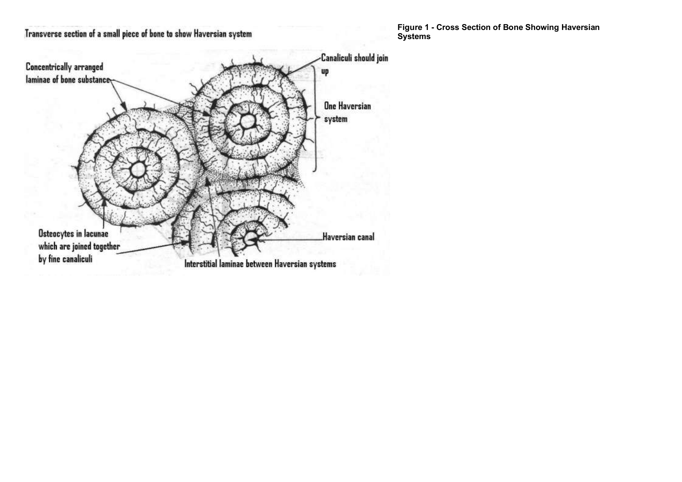

**Figure 1 - Cross Section of Bone Showing Haversian Systems**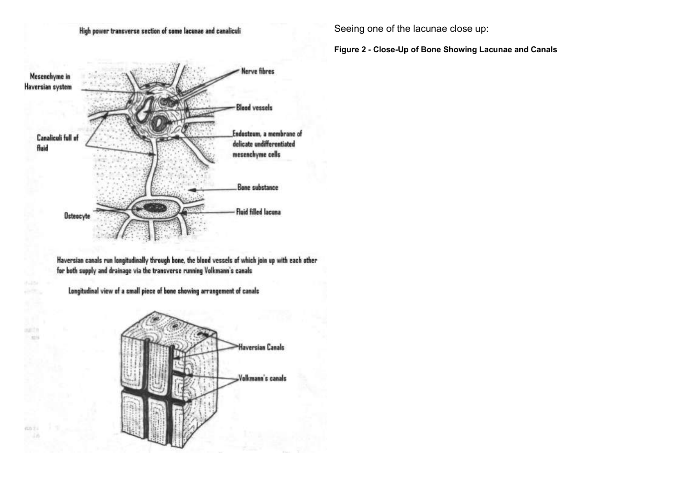#### High power transverse section of some lacunae and canaliculi

Seeing one of the lacunae close up:

**Figure 2 - Close-Up of Bone Showing Lacunae and Canals**



Haversian canals run longitudinally through bone, the blood vessels of which join up with each other for both supply and drainage via the transverse running Volkmann's canals

Longitudinal view of a small piece of bone showing arrangement of canals

math **Castle** 

cin Ti

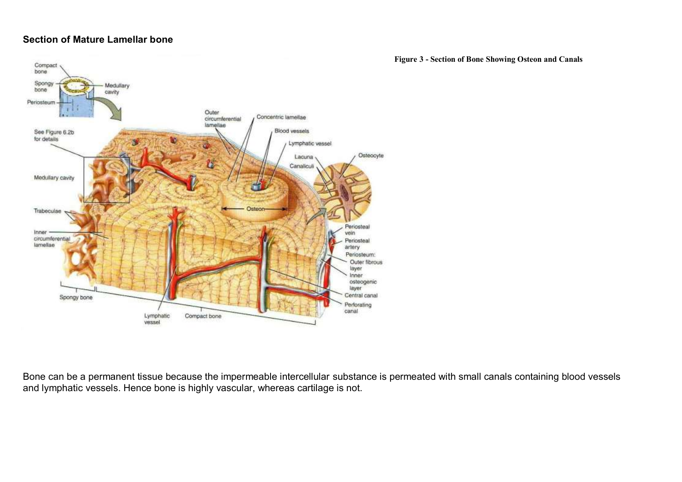## **Section of Mature Lamellar bone**

**Figure 3 - Section of Bone Showing Osteon and Canals**



Bone can be a permanent tissue because the impermeable intercellular substance is permeated with small canals containing blood vessels and lymphatic vessels. Hence bone is highly vascular, whereas cartilage is not.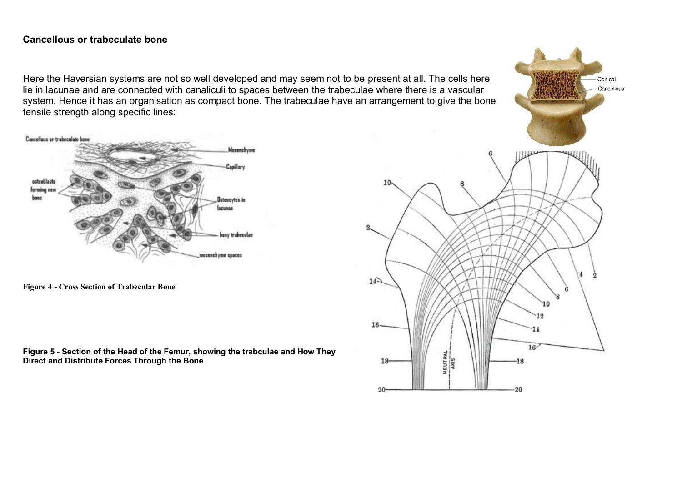#### **Cancellous or trabeculate bone**

Here the Haversian systems are not so well developed and may seem not to be present at all. The cells here lie in lacunae and are connected with canaliculi to spaces between the trabeculae where there is a vascular system. Hence it has an organisation as compact bone. The trabeculae have an arrangement to give the bone tensile strength along specific lines:



**Figure 4 - Cross Section of Trabecular Bone**

**Figure 5 - Section of the Head of the Femur, showing the trabculae and How They Direct and Distribute Forces Through the Bone**



Cortical Cancellous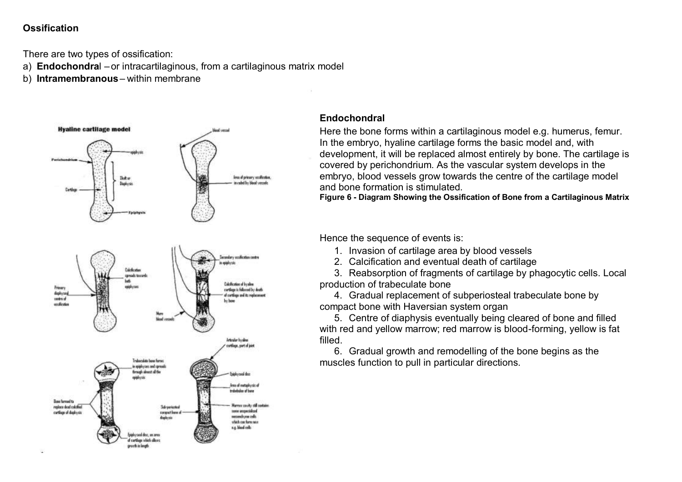## **Ossification**

There are two types of ossification:

- a) **Endochondra**l or intracartilaginous, from a cartilaginous matrix model
- b) **Intramembranous** within membrane



### **Endochondral**

Here the bone forms within a cartilaginous model e.g. humerus, femur. In the embryo, hyaline cartilage forms the basic model and, with development, it will be replaced almost entirely by bone. The cartilage is covered by perichondrium. As the vascular system develops in the embryo, blood vessels grow towards the centre of the cartilage model and bone formation is stimulated.

**Figure 6 - Diagram Showing the Ossification of Bone from a Cartilaginous Matrix**

Hence the sequence of events is:

1. Invasion of cartilage area by blood vessels

2. Calcification and eventual death of cartilage

3. Reabsorption of fragments of cartilage by phagocytic cells. Local production of trabeculate bone

4. Gradual replacement of subperiosteal trabeculate bone by compact bone with Haversian system organ

5. Centre of diaphysis eventually being cleared of bone and filled with red and yellow marrow; red marrow is blood-forming, yellow is fat filled.

6. Gradual growth and remodelling of the bone begins as the muscles function to pull in particular directions.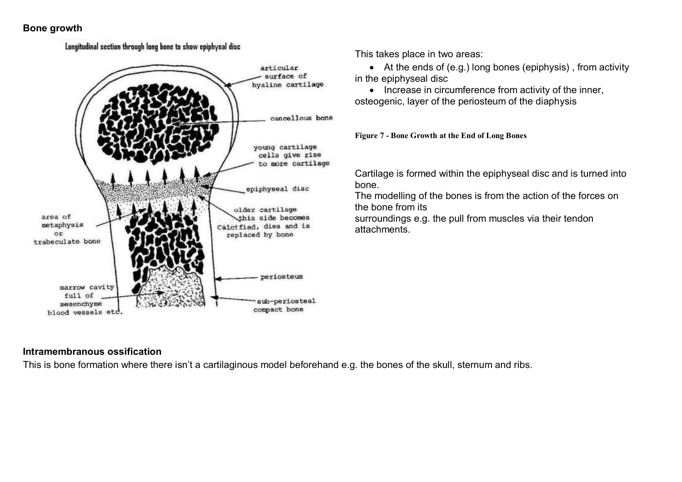### **Bone growth**

## Longitudinal section through long bone to show epiphyeal disc articular surface of hyaline cartilage cancellous bone young cartilage cells give rise to more cartilage epiphyseal disc older cartilage area of this side becomes metaphysis Calcified, dies and is  $\circ$ replaced by bone trabeculate bone periosteum marrow cavity full of sub-periosteal mesenchyme compact bone blood vessels etd.

This takes place in two areas:

 At the ends of (e.g.) long bones (epiphysis) , from activity in the epiphyseal disc

• Increase in circumference from activity of the inner, osteogenic, layer of the periosteum of the diaphysis

**Figure 7 - Bone Growth at the End of Long Bones**

Cartilage is formed within the epiphyseal disc and is turned into bone.

The modelling of the bones is from the action of the forces on the bone from its

surroundings e.g. the pull from muscles via their tendon attachments.

## **Intramembranous ossification**

This is bone formation where there isn't a cartilaginous model beforehand e.g. the bones of the skull, sternum and ribs.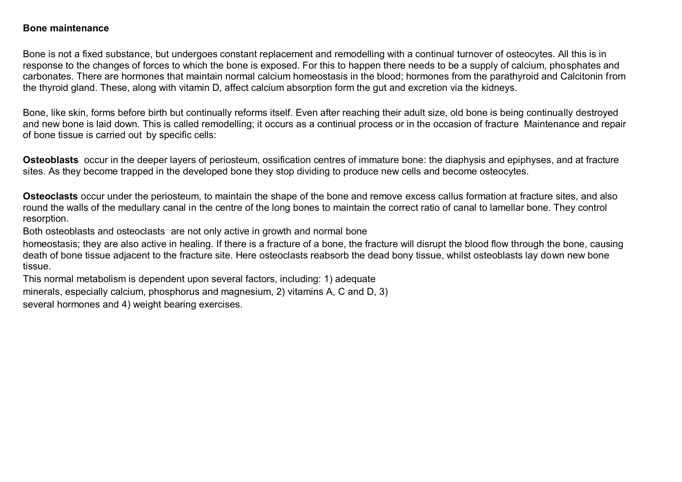#### **Bone maintenance**

Bone is not a fixed substance, but undergoes constant replacement and remodelling with a continual turnover of osteocytes. All this is in response to the changes of forces to which the bone is exposed. For this to happen there needs to be a supply of calcium, phosphates and carbonates. There are hormones that maintain normal calcium homeostasis in the blood; hormones from the parathyroid and Calcitonin from the thyroid gland. These, along with vitamin D, affect calcium absorption form the gut and excretion via the kidneys.

Bone, like skin, forms before birth but continually reforms itself. Even after reaching their adult size, old bone is being continually destroyed and new bone is laid down. This is called remodelling; it occurs as a continual process or in the occasion of fracture Maintenance and repair of bone tissue is carried out by specific cells:

**Osteoblasts** occur in the deeper layers of periosteum, ossification centres of immature bone: the diaphysis and epiphyses, and at fracture sites. As they become trapped in the developed bone they stop dividing to produce new cells and become osteocytes.

**Osteoclasts** occur under the periosteum, to maintain the shape of the bone and remove excess callus formation at fracture sites, and also round the walls of the medullary canal in the centre of the long bones to maintain the correct ratio of canal to lamellar bone. They control resorption.

Both osteoblasts and osteoclasts are not only active in growth and normal bone

homeostasis; they are also active in healing. If there is a fracture of a bone, the fracture will disrupt the blood flow through the bone, causing death of bone tissue adjacent to the fracture site. Here osteoclasts reabsorb the dead bony tissue, whilst osteoblasts lay down new bone tissue.

This normal metabolism is dependent upon several factors, including: 1) adequate minerals, especially calcium, phosphorus and magnesium, 2) vitamins A, C and D, 3) several hormones and 4) weight bearing exercises.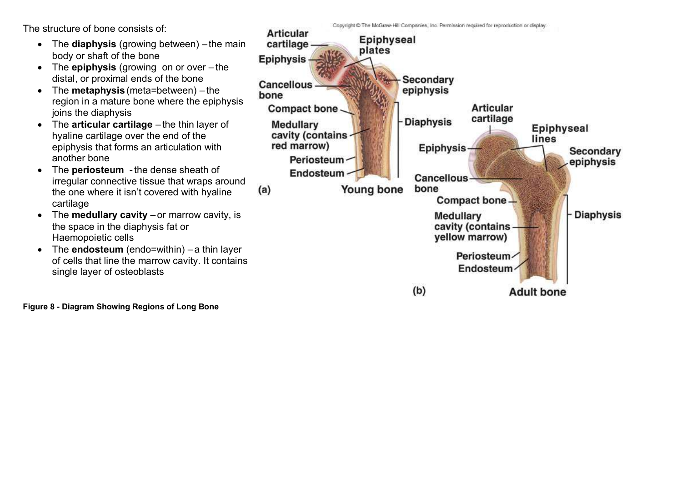The structure of bone consists of:

- The **diaphysis** (growing between) the main body or shaft of the bone
- The **epiphysis** (growing on or over the distal, or proximal ends of the bone
- The **metaphysis** (meta=between) the region in a mature bone where the epiphysis joins the diaphysis
- The **articular cartilage** the thin layer of hyaline cartilage over the end of the epiphysis that forms an articulation with another bone
- The **periosteum** -the dense sheath of irregular connective tissue that wraps around the one where it isn't covered with hyaline cartilage
- The **medullary cavity** or marrow cavity, is the space in the diaphysis fat or Haemopoietic cells
- The **endosteum** (endo=within) a thin layer of cells that line the marrow cavity. It contains single layer of osteoblasts

**Figure 8 - Diagram Showing Regions of Long Bone**

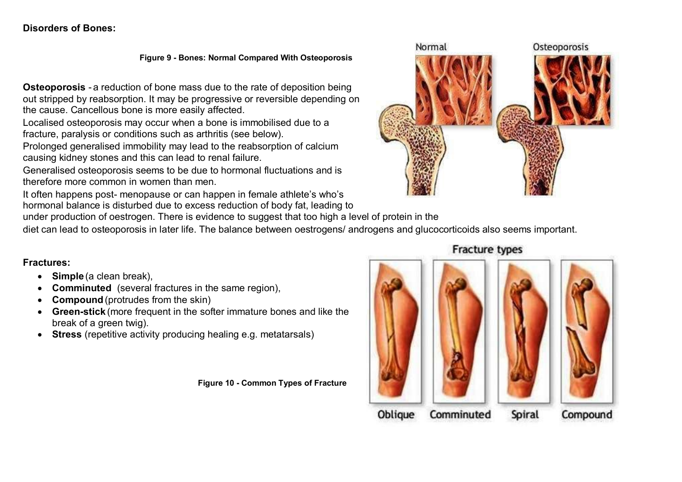## **Disorders of Bones:**

**Figure 9 - Bones: Normal Compared With Osteoporosis**

**Osteoporosis** - a reduction of bone mass due to the rate of deposition being out stripped by reabsorption. It may be progressive or reversible depending on the cause. Cancellous bone is more easily affected.

Localised osteoporosis may occur when a bone is immobilised due to a fracture, paralysis or conditions such as arthritis (see below).

Prolonged generalised immobility may lead to the reabsorption of calcium causing kidney stones and this can lead to renal failure.

Generalised osteoporosis seems to be due to hormonal fluctuations and is therefore more common in women than men.

It often happens post- menopause or can happen in female athlete's who's hormonal balance is disturbed due to excess reduction of body fat, leading to

under production of oestrogen. There is evidence to suggest that too high a level of protein in the

diet can lead to osteoporosis in later life. The balance between oestrogens/ androgens and glucocorticoids also seems important.

#### **Fractures:**

- **Simple** (a clean break),
- **Comminuted** (several fractures in the same region),
- **Compound**(protrudes from the skin)
- **Green-stick** (more frequent in the softer immature bones and like the break of a green twig).
- **Stress** (repetitive activity producing healing e.g. metatarsals)

**Figure 10 - Common Types of Fracture**





## **Fracture types**